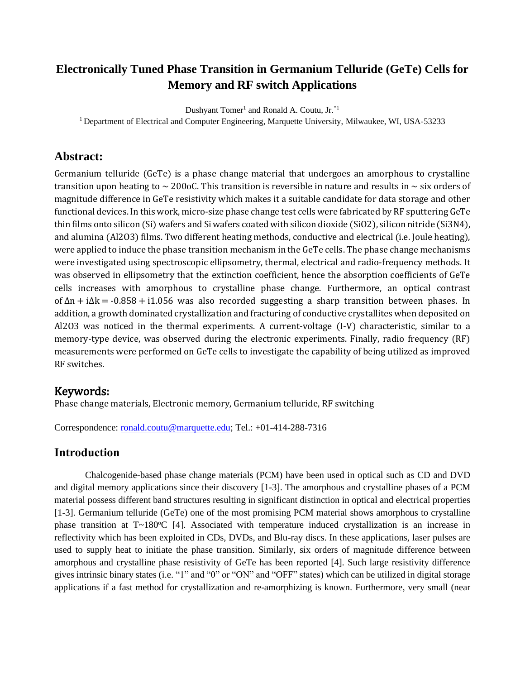# **Electronically Tuned Phase Transition in Germanium Telluride (GeTe) Cells for Memory and RF switch Applications**

Dushyant Tomer<sup>1</sup> and Ronald A. Coutu, Jr.<sup>\*1</sup>

<sup>1</sup> Department of Electrical and Computer Engineering, Marquette University, Milwaukee, WI, USA-53233

## **Abstract:**

Germanium telluride (GeTe) is a phase change material that undergoes an amorphous to crystalline transition upon heating to  $\sim$  200oC. This transition is reversible in nature and results in  $\sim$  six orders of magnitude difference in GeTe resistivity which makes it a suitable candidate for data storage and other functional devices. In this work, micro-size phase change test cells were fabricated by RF sputtering GeTe thin films onto silicon (Si) wafers and Si wafers coated with silicon dioxide (SiO2), silicon nitride (Si3N4), and alumina (Al2O3) films. Two different heating methods, conductive and electrical (i.e. Joule heating), were applied to induce the phase transition mechanism in the GeTe cells. The phase change mechanisms were investigated using spectroscopic ellipsometry, thermal, electrical and radio-frequency methods. It was observed in ellipsometry that the extinction coefficient, hence the absorption coefficients of GeTe cells increases with amorphous to crystalline phase change. Furthermore, an optical contrast of ∆n + i∆k = -0.858 + i1.056 was also recorded suggesting a sharp transition between phases. In addition, a growth dominated crystallization and fracturing of conductive crystallites when deposited on Al2O3 was noticed in the thermal experiments. A current-voltage (I-V) characteristic, similar to a memory-type device, was observed during the electronic experiments. Finally, radio frequency (RF) measurements were performed on GeTe cells to investigate the capability of being utilized as improved RF switches.

# Keywords:

Phase change materials, Electronic memory, Germanium telluride, RF switching

Correspondence: [ronald.coutu@marquette.edu;](file:///C:/Users/quadel/AppData/Local/Microsoft/Windows/INetCache/Content.Outlook/XNHTRKWA/ronald.coutu@marquette.edu) Tel.: +01-414-288-7316

# **Introduction**

Chalcogenide-based phase change materials (PCM) have been used in optical such as CD and DVD and digital memory applications since their discovery [1-3]. The amorphous and crystalline phases of a PCM material possess different band structures resulting in significant distinction in optical and electrical properties [1-3]. Germanium telluride (GeTe) one of the most promising PCM material shows amorphous to crystalline phase transition at  $T \sim 180^{\circ}$ C [4]. Associated with temperature induced crystallization is an increase in reflectivity which has been exploited in CDs, DVDs, and Blu-ray discs. In these applications, laser pulses are used to supply heat to initiate the phase transition. Similarly, six orders of magnitude difference between amorphous and crystalline phase resistivity of GeTe has been reported [4]. Such large resistivity difference gives intrinsic binary states (i.e. "1" and "0" or "ON" and "OFF" states) which can be utilized in digital storage applications if a fast method for crystallization and re-amorphizing is known. Furthermore, very small (near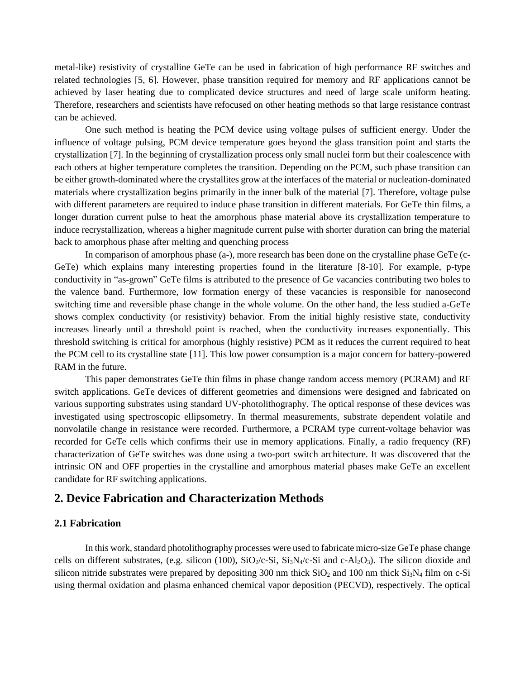metal-like) resistivity of crystalline GeTe can be used in fabrication of high performance RF switches and related technologies [5, 6]. However, phase transition required for memory and RF applications cannot be achieved by laser heating due to complicated device structures and need of large scale uniform heating. Therefore, researchers and scientists have refocused on other heating methods so that large resistance contrast can be achieved.

One such method is heating the PCM device using voltage pulses of sufficient energy. Under the influence of voltage pulsing, PCM device temperature goes beyond the glass transition point and starts the crystallization [7]. In the beginning of crystallization process only small nuclei form but their coalescence with each others at higher temperature completes the transition. Depending on the PCM, such phase transition can be either growth-dominated where the crystallites grow at the interfaces of the material or nucleation-dominated materials where crystallization begins primarily in the inner bulk of the material [7]. Therefore, voltage pulse with different parameters are required to induce phase transition in different materials. For GeTe thin films, a longer duration current pulse to heat the amorphous phase material above its crystallization temperature to induce recrystallization, whereas a higher magnitude current pulse with shorter duration can bring the material back to amorphous phase after melting and quenching process

In comparison of amorphous phase (a-), more research has been done on the crystalline phase GeTe (c-GeTe) which explains many interesting properties found in the literature [8-10]. For example, p-type conductivity in "as-grown" GeTe films is attributed to the presence of Ge vacancies contributing two holes to the valence band. Furthermore, low formation energy of these vacancies is responsible for nanosecond switching time and reversible phase change in the whole volume. On the other hand, the less studied a-GeTe shows complex conductivity (or resistivity) behavior. From the initial highly resistive state, conductivity increases linearly until a threshold point is reached, when the conductivity increases exponentially. This threshold switching is critical for amorphous (highly resistive) PCM as it reduces the current required to heat the PCM cell to its crystalline state [11]. This low power consumption is a major concern for battery-powered RAM in the future.

This paper demonstrates GeTe thin films in phase change random access memory (PCRAM) and RF switch applications. GeTe devices of different geometries and dimensions were designed and fabricated on various supporting substrates using standard UV-photolithography. The optical response of these devices was investigated using spectroscopic ellipsometry. In thermal measurements, substrate dependent volatile and nonvolatile change in resistance were recorded. Furthermore, a PCRAM type current-voltage behavior was recorded for GeTe cells which confirms their use in memory applications. Finally, a radio frequency (RF) characterization of GeTe switches was done using a two-port switch architecture. It was discovered that the intrinsic ON and OFF properties in the crystalline and amorphous material phases make GeTe an excellent candidate for RF switching applications.

### **2. Device Fabrication and Characterization Methods**

### **2.1 Fabrication**

In this work, standard photolithography processes were used to fabricate micro-size GeTe phase change cells on different substrates, (e.g. silicon (100),  $SiO_2/c-Si$ ,  $Si_3N_4/c-Si$  and c-Al<sub>2</sub>O<sub>3</sub>). The silicon dioxide and silicon nitride substrates were prepared by depositing 300 nm thick  $SiO<sub>2</sub>$  and 100 nm thick  $Si<sub>3</sub>N<sub>4</sub>$  film on c-Si using thermal oxidation and plasma enhanced chemical vapor deposition (PECVD), respectively. The optical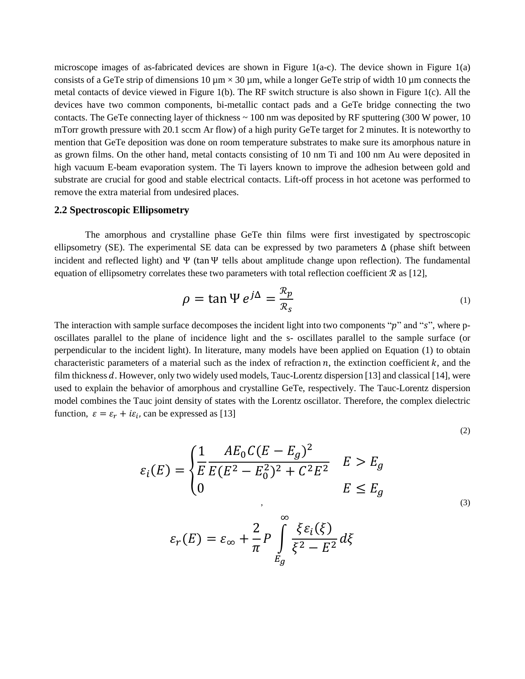microscope images of as-fabricated devices are shown in Figure 1(a-c). The device shown in Figure 1(a) consists of a GeTe strip of dimensions 10  $\mu$ m × 30  $\mu$ m, while a longer GeTe strip of width 10  $\mu$ m connects the metal contacts of device viewed in Figure 1(b). The RF switch structure is also shown in Figure 1(c). All the devices have two common components, bi-metallic contact pads and a GeTe bridge connecting the two contacts. The GeTe connecting layer of thickness  $\sim 100$  nm was deposited by RF sputtering (300 W power, 10) mTorr growth pressure with 20.1 sccm Ar flow) of a high purity GeTe target for 2 minutes. It is noteworthy to mention that GeTe deposition was done on room temperature substrates to make sure its amorphous nature in as grown films. On the other hand, metal contacts consisting of 10 nm Ti and 100 nm Au were deposited in high vacuum E-beam evaporation system. The Ti layers known to improve the adhesion between gold and substrate are crucial for good and stable electrical contacts. Lift-off process in hot acetone was performed to remove the extra material from undesired places.

### **2.2 Spectroscopic Ellipsometry**

The amorphous and crystalline phase GeTe thin films were first investigated by spectroscopic ellipsometry (SE). The experimental SE data can be expressed by two parameters  $\Delta$  (phase shift between incident and reflected light) and  $\Psi$  (tan  $\Psi$  tells about amplitude change upon reflection). The fundamental equation of ellipsometry correlates these two parameters with total reflection coefficient  $\mathcal{R}$  as [12],

$$
\rho = \tan \Psi \, e^{j\Delta} = \frac{\mathcal{R}_p}{\mathcal{R}_s} \tag{1}
$$

The interaction with sample surface decomposes the incident light into two components " $p$ " and "s", where poscillates parallel to the plane of incidence light and the s- oscillates parallel to the sample surface (or perpendicular to the incident light). In literature, many models have been applied on Equation (1) to obtain characteristic parameters of a material such as the index of refraction  $n$ , the extinction coefficient  $k$ , and the film thickness  $d$ . However, only two widely used models, Tauc-Lorentz dispersion [13] and classical [14], were used to explain the behavior of amorphous and crystalline GeTe, respectively. The Tauc-Lorentz dispersion model combines the Tauc joint density of states with the Lorentz oscillator. Therefore, the complex dielectric function,  $\varepsilon = \varepsilon_r + i\varepsilon_i$ , can be expressed as [13]

$$
(2)
$$

$$
\varepsilon_i(E) = \begin{cases} \frac{1}{E} \frac{AE_0 C (E - E_g)^2}{E (E^2 - E_0^2)^2 + C^2 E^2} & E > E_g \\ 0 & E \le E_g \end{cases} \tag{3}
$$

$$
\varepsilon_r(E) = \varepsilon_\infty + \frac{2}{\pi} P \int_{E_g}^{\infty} \frac{\xi \varepsilon_i(\xi)}{\xi^2 - E^2} d\xi
$$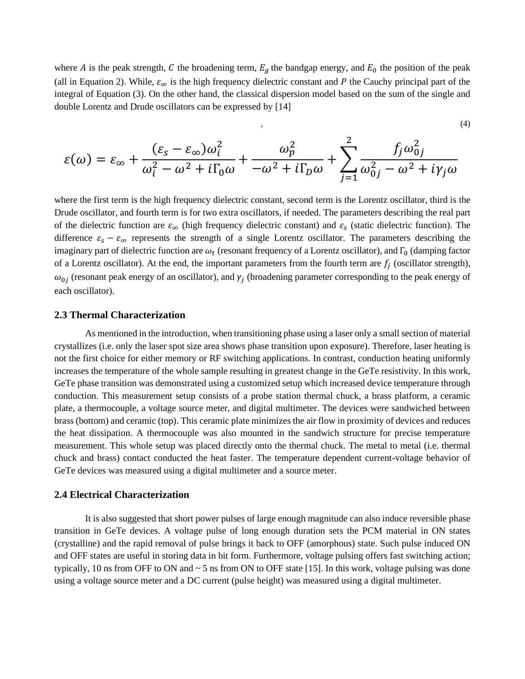where A is the peak strength, C the broadening term,  $E<sub>g</sub>$  the bandgap energy, and  $E<sub>0</sub>$  the position of the peak (all in Equation 2). While,  $\varepsilon_{\infty}$  is the high frequency dielectric constant and P the Cauchy principal part of the integral of Equation (3). On the other hand, the classical dispersion model based on the sum of the single and double Lorentz and Drude oscillators can be expressed by [14]

$$
\varepsilon(\omega) = \varepsilon_{\infty} + \frac{(\varepsilon_{s} - \varepsilon_{\infty})\omega_{i}^{2}}{\omega_{i}^{2} - \omega^{2} + i\Gamma_{0}\omega} + \frac{\omega_{p}^{2}}{-\omega^{2} + i\Gamma_{D}\omega} + \sum_{j=1}^{2} \frac{f_{j}\omega_{0j}^{2}}{\omega_{0j}^{2} - \omega^{2} + i\gamma_{j}\omega}
$$

 $\hspace{1.6cm}$ , (4)

where the first term is the high frequency dielectric constant, second term is the Lorentz oscillator, third is the Drude oscillator, and fourth term is for two extra oscillators, if needed. The parameters describing the real part of the dielectric function are  $\varepsilon_{\infty}$  (high frequency dielectric constant) and  $\varepsilon_{s}$  (static dielectric function). The difference  $\varepsilon_s - \varepsilon_\infty$  represents the strength of a single Lorentz oscillator. The parameters describing the imaginary part of dielectric function are  $\omega_t$  (resonant frequency of a Lorentz oscillator), and  $\Gamma_0$  (damping factor of a Lorentz oscillator). At the end, the important parameters from the fourth term are  $f_j$  (oscillator strength),  $\omega_{0j}$  (resonant peak energy of an oscillator), and  $\gamma_j$  (broadening parameter corresponding to the peak energy of each oscillator).

#### **2.3 Thermal Characterization**

As mentioned in the introduction, when transitioning phase using a laser only a small section of material crystallizes (i.e. only the laser spot size area shows phase transition upon exposure). Therefore, laser heating is not the first choice for either memory or RF switching applications. In contrast, conduction heating uniformly increases the temperature of the whole sample resulting in greatest change in the GeTe resistivity. In this work, GeTe phase transition was demonstrated using a customized setup which increased device temperature through conduction. This measurement setup consists of a probe station thermal chuck, a brass platform, a ceramic plate, a thermocouple, a voltage source meter, and digital multimeter. The devices were sandwiched between brass (bottom) and ceramic (top). This ceramic plate minimizes the air flow in proximity of devices and reduces the heat dissipation. A thermocouple was also mounted in the sandwich structure for precise temperature measurement. This whole setup was placed directly onto the thermal chuck. The metal to metal (i.e. thermal chuck and brass) contact conducted the heat faster. The temperature dependent current-voltage behavior of GeTe devices was measured using a digital multimeter and a source meter.

### **2.4 Electrical Characterization**

It is also suggested that short power pulses of large enough magnitude can also induce reversible phase transition in GeTe devices. A voltage pulse of long enough duration sets the PCM material in ON states (crystalline) and the rapid removal of pulse brings it back to OFF (amorphous) state. Such pulse induced ON and OFF states are useful in storing data in bit form. Furthermore, voltage pulsing offers fast switching action; typically, 10 ns from OFF to ON and ~ 5 ns from ON to OFF state [15]. In this work, voltage pulsing was done using a voltage source meter and a DC current (pulse height) was measured using a digital multimeter.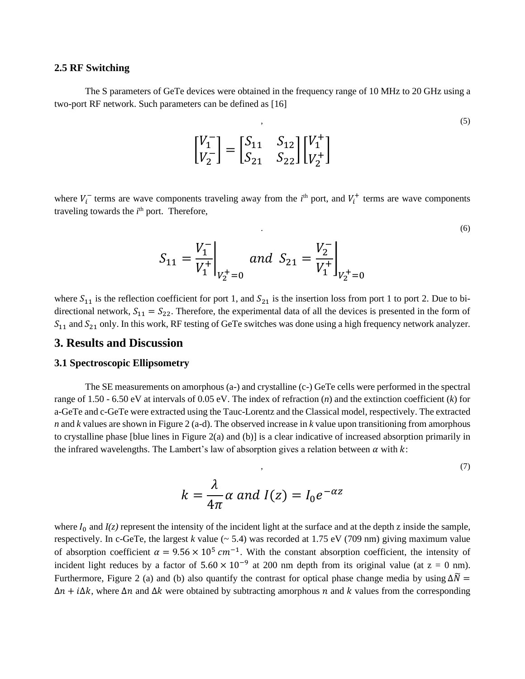### **2.5 RF Switching**

The S parameters of GeTe devices were obtained in the frequency range of 10 MHz to 20 GHz using a two-port RF network. Such parameters can be defined as [16]

$$
\begin{bmatrix} V_1^- \\ V_2^- \end{bmatrix} = \begin{bmatrix} S_{11} & S_{12} \\ S_{21} & S_{22} \end{bmatrix} \begin{bmatrix} V_1^+ \\ V_2^+ \end{bmatrix} \tag{5}
$$

.  $(6)$ 

,  $(7)$ 

where  $V_i^-$  terms are wave components traveling away from the  $i^{\text{th}}$  port, and  $V_i^+$  terms are wave components traveling towards the  $i<sup>th</sup>$  port. Therefore,

$$
S_{11} = \frac{V_1^-}{V_1^+}\bigg|_{V_2^+=0} \quad and \quad S_{21} = \frac{V_2^-}{V_1^+}\bigg|_{V_2^+=0}
$$

where  $S_{11}$  is the reflection coefficient for port 1, and  $S_{21}$  is the insertion loss from port 1 to port 2. Due to bidirectional network,  $S_{11} = S_{22}$ . Therefore, the experimental data of all the devices is presented in the form of  $S_{11}$  and  $S_{21}$  only. In this work, RF testing of GeTe switches was done using a high frequency network analyzer.

### **3. Results and Discussion**

### **3.1 Spectroscopic Ellipsometry**

The SE measurements on amorphous (a-) and crystalline (c-) GeTe cells were performed in the spectral range of 1.50 - 6.50 eV at intervals of 0.05 eV. The index of refraction (*n*) and the extinction coefficient (*k*) for a-GeTe and c-GeTe were extracted using the Tauc-Lorentz and the Classical model, respectively. The extracted *n* and *k* values are shown in Figure 2 (a-d). The observed increase in *k* value upon transitioning from amorphous to crystalline phase [blue lines in Figure 2(a) and (b)] is a clear indicative of increased absorption primarily in the infrared wavelengths. The Lambert's law of absorption gives a relation between  $\alpha$  with  $k$ :

$$
k = \frac{\lambda}{4\pi} \alpha \text{ and } I(z) = I_0 e^{-\alpha z}
$$

where  $I_0$  and  $I(z)$  represent the intensity of the incident light at the surface and at the depth z inside the sample, respectively. In c-GeTe, the largest  $k$  value ( $\sim$  5.4) was recorded at 1.75 eV (709 nm) giving maximum value of absorption coefficient  $\alpha = 9.56 \times 10^5$  cm<sup>-1</sup>. With the constant absorption coefficient, the intensity of incident light reduces by a factor of  $5.60 \times 10^{-9}$  at 200 nm depth from its original value (at z = 0 nm). Furthermore, Figure 2 (a) and (b) also quantify the contrast for optical phase change media by using  $\Delta \tilde{N} =$  $\Delta n + i \Delta k$ , where  $\Delta n$  and  $\Delta k$  were obtained by subtracting amorphous n and k values from the corresponding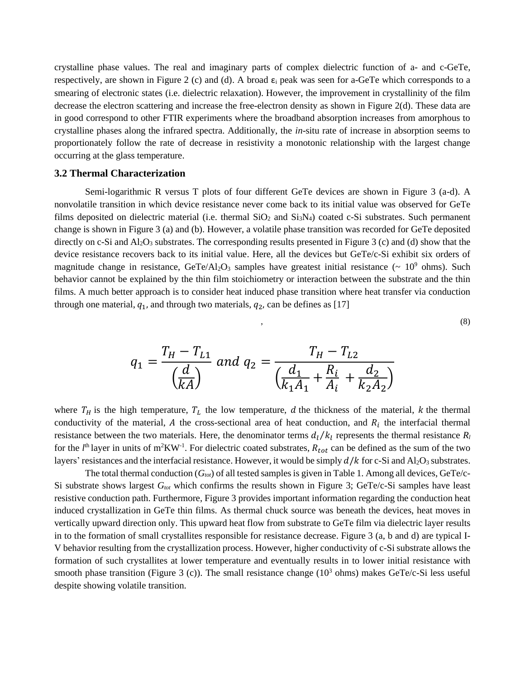crystalline phase values. The real and imaginary parts of complex dielectric function of a- and c-GeTe, respectively, are shown in Figure 2 (c) and (d). A broad  $\varepsilon_i$  peak was seen for a-GeTe which corresponds to a smearing of electronic states (i.e. dielectric relaxation). However, the improvement in crystallinity of the film decrease the electron scattering and increase the free-electron density as shown in Figure 2(d). These data are in good correspond to other FTIR experiments where the broadband absorption increases from amorphous to crystalline phases along the infrared spectra. Additionally, the *in*-situ rate of increase in absorption seems to proportionately follow the rate of decrease in resistivity a monotonic relationship with the largest change occurring at the glass temperature.

#### **3.2 Thermal Characterization**

Semi-logarithmic R versus T plots of four different GeTe devices are shown in Figure 3 (a-d). A nonvolatile transition in which device resistance never come back to its initial value was observed for GeTe films deposited on dielectric material (i.e. thermal  $SiO<sub>2</sub>$  and  $Si<sub>3</sub>N<sub>4</sub>$ ) coated c-Si substrates. Such permanent change is shown in Figure 3 (a) and (b). However, a volatile phase transition was recorded for GeTe deposited directly on c-Si and  $Al_2O_3$  substrates. The corresponding results presented in Figure 3 (c) and (d) show that the device resistance recovers back to its initial value. Here, all the devices but GeTe/c-Si exhibit six orders of magnitude change in resistance,  $GeTe/Al_2O_3$  samples have greatest initial resistance ( $\sim 10^9$  ohms). Such behavior cannot be explained by the thin film stoichiometry or interaction between the substrate and the thin films. A much better approach is to consider heat induced phase transition where heat transfer via conduction through one material,  $q_1$ , and through two materials,  $q_2$ , can be defines as [17]

$$
\tag{8}
$$

$$
q_1 = \frac{T_H - T_{L1}}{\left(\frac{d}{kA}\right)} \text{ and } q_2 = \frac{T_H - T_{L2}}{\left(\frac{d_1}{k_1A_1} + \frac{R_i}{A_i} + \frac{d_2}{k_2A_2}\right)}
$$

where  $T_H$  is the high temperature,  $T_L$  the low temperature, d the thickness of the material, k the thermal conductivity of the material, A the cross-sectional area of heat conduction, and  $R_i$  the interfacial thermal resistance between the two materials. Here, the denominator terms  $d_l/k_l$  represents the thermal resistance  $R_l$ for the  $l^{\text{th}}$  layer in units of m<sup>2</sup>KW<sup>-1</sup>. For dielectric coated substrates,  $R_{tot}$  can be defined as the sum of the two layers' resistances and the interfacial resistance. However, it would be simply  $d/k$  for c-Si and Al<sub>2</sub>O<sub>3</sub> substrates.

The total thermal conduction (*Gtot*) of all tested samples is given in Table 1. Among all devices, GeTe/c-Si substrate shows largest *Gtot* which confirms the results shown in Figure 3; GeTe/c-Si samples have least resistive conduction path. Furthermore, Figure 3 provides important information regarding the conduction heat induced crystallization in GeTe thin films. As thermal chuck source was beneath the devices, heat moves in vertically upward direction only. This upward heat flow from substrate to GeTe film via dielectric layer results in to the formation of small crystallites responsible for resistance decrease. Figure 3 (a, b and d) are typical I-V behavior resulting from the crystallization process. However, higher conductivity of c-Si substrate allows the formation of such crystallites at lower temperature and eventually results in to lower initial resistance with smooth phase transition (Figure 3 (c)). The small resistance change  $(10<sup>3</sup>$  ohms) makes GeTe/c-Si less useful despite showing volatile transition.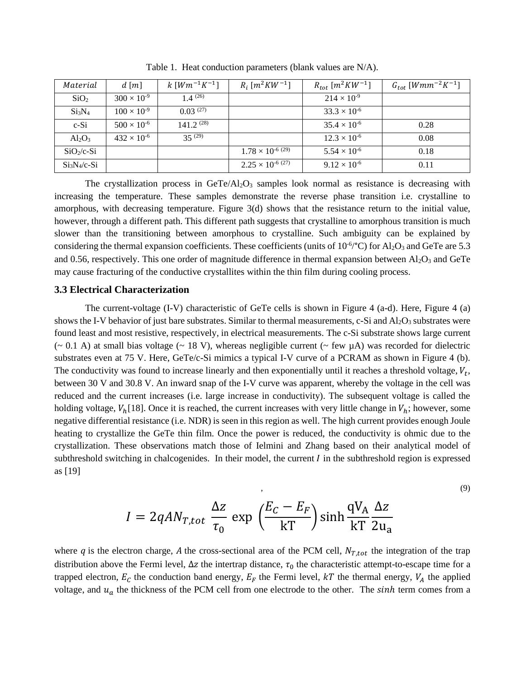| Material                       | $d \lceil m \rceil$  | $k \, [Wm^{-1}K^{-1}]$ | $R_i [m^2 K W^{-1}]$       | $R_{tot}$ [ $m^2KW^{-1}$ ] | $G_{tot}$ [ <i>Wmm<sup>-2</sup>K<sup>-1</sup></i> ] |
|--------------------------------|----------------------|------------------------|----------------------------|----------------------------|-----------------------------------------------------|
| SiO <sub>2</sub>               | $300 \times 10^{-9}$ | $1.4 \text{ }^{(26)}$  |                            | $214 \times 10^{-9}$       |                                                     |
| Si <sub>3</sub> N <sub>4</sub> | $100 \times 10^{-9}$ | $0.03^{(27)}$          |                            | $33.3 \times 10^{-6}$      |                                                     |
| $c-Si$                         | $500 \times 10^{-6}$ | 141 $2^{(28)}$         |                            | $35.4 \times 10^{-6}$      | 0.28                                                |
| $Al_2O_3$                      | $432 \times 10^{-6}$ | 35(29)                 |                            | $12.3 \times 10^{-6}$      | 0.08                                                |
| $SiO2/c-Si$                    |                      |                        | $1.78 \times 10^{-6}$ (29) | $5.54 \times 10^{-6}$      | 0.18                                                |
| $Si3N4/c-Si$                   |                      |                        | $2.25 \times 10^{-6}$ (27) | $9.12 \times 10^{-6}$      | 0.11                                                |

Table 1. Heat conduction parameters (blank values are N/A).

The crystallization process in  $GeTe/Al<sub>2</sub>O<sub>3</sub>$  samples look normal as resistance is decreasing with increasing the temperature. These samples demonstrate the reverse phase transition i.e. crystalline to amorphous, with decreasing temperature. Figure 3(d) shows that the resistance return to the initial value, however, through a different path. This different path suggests that crystalline to amorphous transition is much slower than the transitioning between amorphous to crystalline. Such ambiguity can be explained by considering the thermal expansion coefficients. These coefficients (units of  $10^{-6}$ °C) for Al<sub>2</sub>O<sub>3</sub> and GeTe are 5.3 and 0.56, respectively. This one order of magnitude difference in thermal expansion between  $A1_2O_3$  and GeTe may cause fracturing of the conductive crystallites within the thin film during cooling process.

#### **3.3 Electrical Characterization**

The current-voltage (I-V) characteristic of GeTe cells is shown in Figure 4 (a-d). Here, Figure 4 (a) shows the I-V behavior of just bare substrates. Similar to thermal measurements, c-Si and  $Al_2O_3$  substrates were found least and most resistive, respectively, in electrical measurements. The c-Si substrate shows large current  $({\sim} 0.1 \text{ A})$  at small bias voltage  $({\sim} 18 \text{ V})$ , whereas negligible current  $({\sim}$  few  $\mu$ A) was recorded for dielectric substrates even at 75 V. Here, GeTe/c-Si mimics a typical I-V curve of a PCRAM as shown in Figure 4 (b). The conductivity was found to increase linearly and then exponentially until it reaches a threshold voltage,  $V_t$ , between 30 V and 30.8 V. An inward snap of the I-V curve was apparent, whereby the voltage in the cell was reduced and the current increases (i.e. large increase in conductivity). The subsequent voltage is called the holding voltage,  $V_h[18]$ . Once it is reached, the current increases with very little change in  $V_h$ ; however, some negative differential resistance (i.e. NDR) is seen in this region as well. The high current provides enough Joule heating to crystallize the GeTe thin film. Once the power is reduced, the conductivity is ohmic due to the crystallization. These observations match those of Ielmini and Zhang based on their analytical model of subthreshold switching in chalcogenides. In their model, the current  $I$  in the subthreshold region is expressed as [19]

$$
I = 2qAN_{T,tot} \frac{\Delta z}{\tau_0} \exp\left(\frac{E_C - E_F}{kT}\right) \sinh\frac{qV_A}{kT} \frac{\Delta z}{2u_a}
$$
\n<sup>(9)</sup>

where q is the electron charge, A the cross-sectional area of the PCM cell,  $N_{T,tot}$  the integration of the trap distribution above the Fermi level,  $\Delta z$  the intertrap distance,  $\tau_0$  the characteristic attempt-to-escape time for a trapped electron,  $E_c$  the conduction band energy,  $E_F$  the Fermi level,  $kT$  the thermal energy,  $V_A$  the applied voltage, and  $u_a$  the thickness of the PCM cell from one electrode to the other. The sinh term comes from a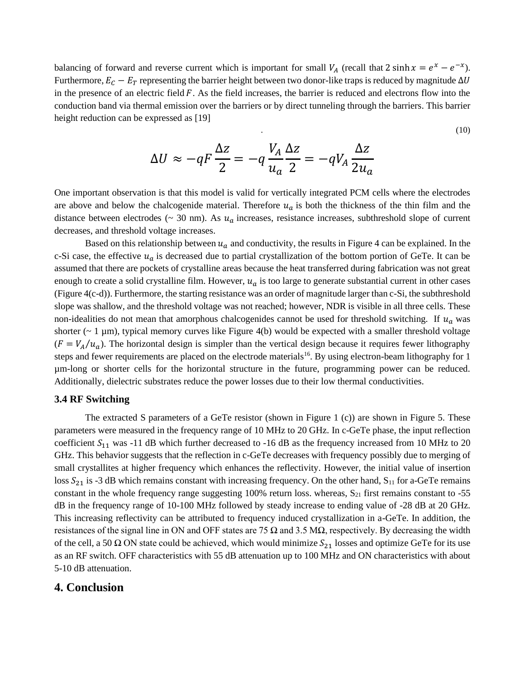balancing of forward and reverse current which is important for small  $V_A$  (recall that 2 sinh  $x = e^x - e^{-x}$ ). Furthermore,  $E_C - E_T$  representing the barrier height between two donor-like traps is reduced by magnitude  $\Delta U$ in the presence of an electric field  $F$ . As the field increases, the barrier is reduced and electrons flow into the conduction band via thermal emission over the barriers or by direct tunneling through the barriers. This barrier height reduction can be expressed as [19]

$$
\Delta U \approx -qF\frac{\Delta z}{2} = -q\frac{V_A}{u_a}\frac{\Delta z}{2} = -qV_A\frac{\Delta z}{2u_a}
$$

.  $(10)$ 

One important observation is that this model is valid for vertically integrated PCM cells where the electrodes are above and below the chalcogenide material. Therefore  $u_a$  is both the thickness of the thin film and the distance between electrodes ( $\sim$  30 nm). As  $u_a$  increases, resistance increases, subthreshold slope of current decreases, and threshold voltage increases.

Based on this relationship between  $u_a$  and conductivity, the results in Figure 4 can be explained. In the c-Si case, the effective  $u_a$  is decreased due to partial crystallization of the bottom portion of GeTe. It can be assumed that there are pockets of crystalline areas because the heat transferred during fabrication was not great enough to create a solid crystalline film. However,  $u_a$  is too large to generate substantial current in other cases (Figure 4(c-d)). Furthermore, the starting resistance was an order of magnitude larger than c-Si, the subthreshold slope was shallow, and the threshold voltage was not reached; however, NDR is visible in all three cells. These non-idealities do not mean that amorphous chalcogenides cannot be used for threshold switching. If  $u_a$  was shorter  $(-1 \mu m)$ , typical memory curves like Figure 4(b) would be expected with a smaller threshold voltage  $(F = V_A/u_a)$ . The horizontal design is simpler than the vertical design because it requires fewer lithography steps and fewer requirements are placed on the electrode materials<sup>16</sup>. By using electron-beam lithography for 1 µm-long or shorter cells for the horizontal structure in the future, programming power can be reduced. Additionally, dielectric substrates reduce the power losses due to their low thermal conductivities.

#### **3.4 RF Switching**

The extracted S parameters of a GeTe resistor (shown in Figure 1 (c)) are shown in Figure 5. These parameters were measured in the frequency range of 10 MHz to 20 GHz. In c-GeTe phase, the input reflection coefficient  $S_{11}$  was -11 dB which further decreased to -16 dB as the frequency increased from 10 MHz to 20 GHz. This behavior suggests that the reflection in c-GeTe decreases with frequency possibly due to merging of small crystallites at higher frequency which enhances the reflectivity. However, the initial value of insertion loss  $S_{21}$  is -3 dB which remains constant with increasing frequency. On the other hand,  $S_{11}$  for a-GeTe remains constant in the whole frequency range suggesting  $100\%$  return loss. whereas,  $S_{21}$  first remains constant to -55 dB in the frequency range of 10-100 MHz followed by steady increase to ending value of -28 dB at 20 GHz. This increasing reflectivity can be attributed to frequency induced crystallization in a-GeTe. In addition, the resistances of the signal line in ON and OFF states are 75  $\Omega$  and 3.5 M $\Omega$ , respectively. By decreasing the width of the cell, a 50  $\Omega$  ON state could be achieved, which would minimize  $S_{21}$  losses and optimize GeTe for its use as an RF switch. OFF characteristics with 55 dB attenuation up to 100 MHz and ON characteristics with about 5-10 dB attenuation.

### **4. Conclusion**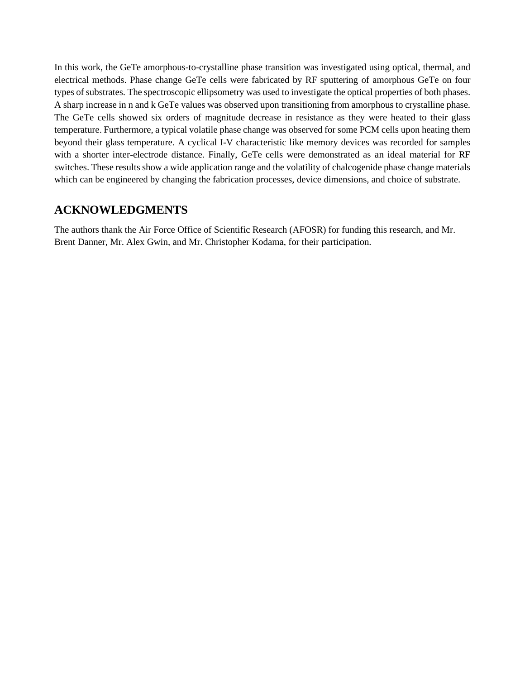In this work, the GeTe amorphous-to-crystalline phase transition was investigated using optical, thermal, and electrical methods. Phase change GeTe cells were fabricated by RF sputtering of amorphous GeTe on four types of substrates. The spectroscopic ellipsometry was used to investigate the optical properties of both phases. A sharp increase in n and k GeTe values was observed upon transitioning from amorphous to crystalline phase. The GeTe cells showed six orders of magnitude decrease in resistance as they were heated to their glass temperature. Furthermore, a typical volatile phase change was observed for some PCM cells upon heating them beyond their glass temperature. A cyclical I-V characteristic like memory devices was recorded for samples with a shorter inter-electrode distance. Finally, GeTe cells were demonstrated as an ideal material for RF switches. These results show a wide application range and the volatility of chalcogenide phase change materials which can be engineered by changing the fabrication processes, device dimensions, and choice of substrate.

## **ACKNOWLEDGMENTS**

The authors thank the Air Force Office of Scientific Research (AFOSR) for funding this research, and Mr. Brent Danner, Mr. Alex Gwin, and Mr. Christopher Kodama, for their participation.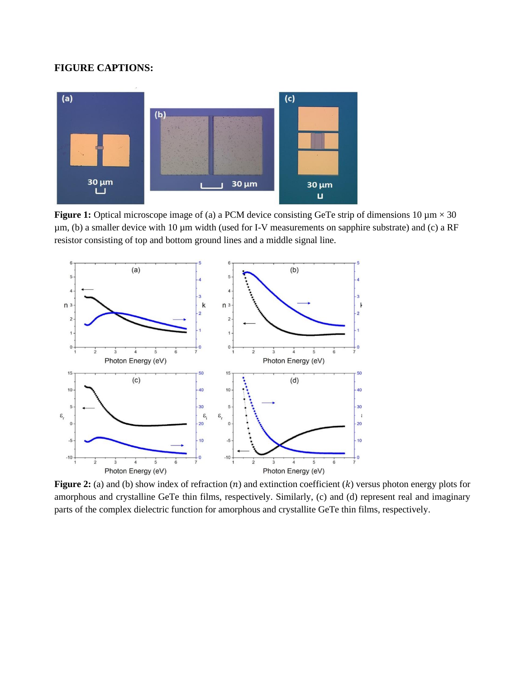### **FIGURE CAPTIONS:**



**Figure 1:** Optical microscope image of (a) a PCM device consisting GeTe strip of dimensions 10  $\mu$ m  $\times$  30 µm, (b) a smaller device with 10 µm width (used for I-V measurements on sapphire substrate) and (c) a RF resistor consisting of top and bottom ground lines and a middle signal line.



**Figure 2:** (a) and (b) show index of refraction  $(n)$  and extinction coefficient  $(k)$  versus photon energy plots for amorphous and crystalline GeTe thin films, respectively. Similarly, (c) and (d) represent real and imaginary parts of the complex dielectric function for amorphous and crystallite GeTe thin films, respectively.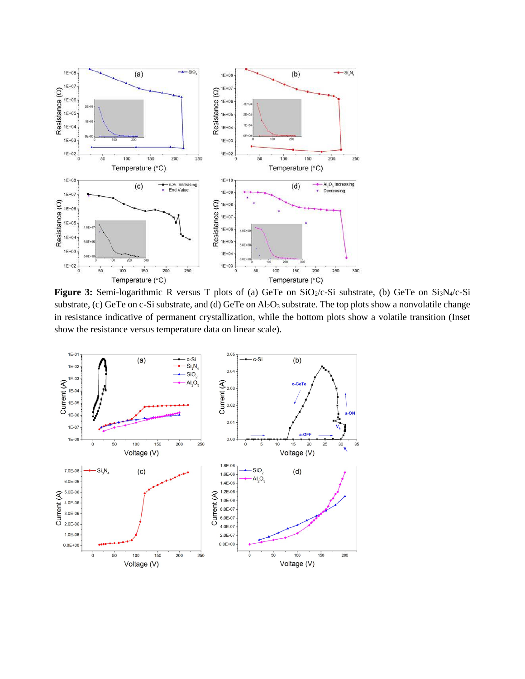

Figure 3: Semi-logarithmic R versus T plots of (a) GeTe on SiO<sub>2</sub>/c-Si substrate, (b) GeTe on Si<sub>3</sub>N<sub>4</sub>/c-Si substrate, (c) GeTe on c-Si substrate, and (d) GeTe on Al<sub>2</sub>O<sub>3</sub> substrate. The top plots show a nonvolatile change in resistance indicative of permanent crystallization, while the bottom plots show a volatile transition (Inset show the resistance versus temperature data on linear scale).

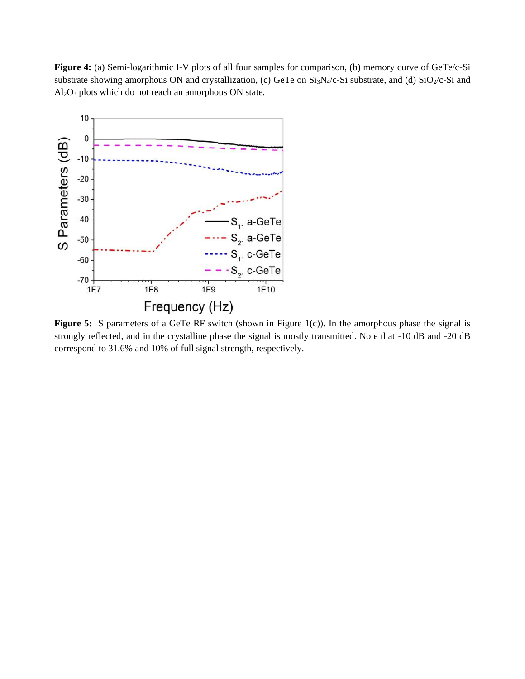**Figure 4:** (a) Semi-logarithmic I-V plots of all four samples for comparison, (b) memory curve of GeTe/c-Si substrate showing amorphous ON and crystallization, (c) GeTe on Si<sub>3</sub>N<sub>4</sub>/c-Si substrate, and (d) SiO<sub>2</sub>/c-Si and  $Al<sub>2</sub>O<sub>3</sub>$  plots which do not reach an amorphous ON state.



Figure 5: S parameters of a GeTe RF switch (shown in Figure 1(c)). In the amorphous phase the signal is strongly reflected, and in the crystalline phase the signal is mostly transmitted. Note that -10 dB and -20 dB correspond to 31.6% and 10% of full signal strength, respectively.